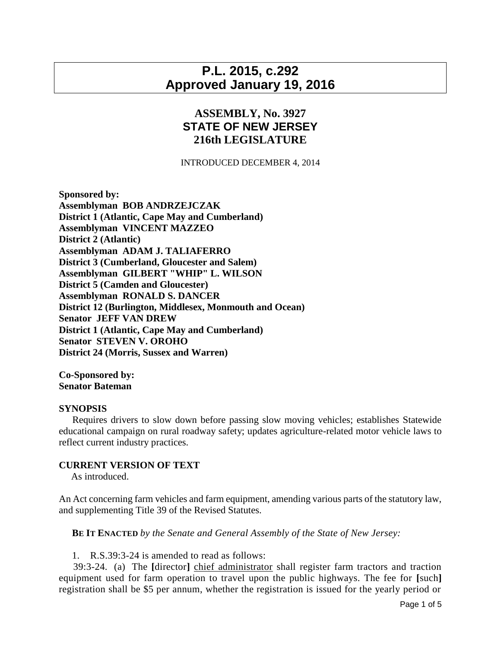# **P.L. 2015, c.292 Approved January 19, 2016**

## **ASSEMBLY, No. 3927 STATE OF NEW JERSEY 216th LEGISLATURE**

#### INTRODUCED DECEMBER 4, 2014

**Sponsored by: Assemblyman BOB ANDRZEJCZAK District 1 (Atlantic, Cape May and Cumberland) Assemblyman VINCENT MAZZEO District 2 (Atlantic) Assemblyman ADAM J. TALIAFERRO District 3 (Cumberland, Gloucester and Salem) Assemblyman GILBERT "WHIP" L. WILSON District 5 (Camden and Gloucester) Assemblyman RONALD S. DANCER District 12 (Burlington, Middlesex, Monmouth and Ocean) Senator JEFF VAN DREW District 1 (Atlantic, Cape May and Cumberland) Senator STEVEN V. OROHO District 24 (Morris, Sussex and Warren)**

## **Co-Sponsored by: Senator Bateman**

#### **SYNOPSIS**

 Requires drivers to slow down before passing slow moving vehicles; establishes Statewide educational campaign on rural roadway safety; updates agriculture-related motor vehicle laws to reflect current industry practices.

### **CURRENT VERSION OF TEXT**

As introduced.

An Act concerning farm vehicles and farm equipment, amending various parts of the statutory law, and supplementing Title 39 of the Revised Statutes.

**BE IT ENACTED** *by the Senate and General Assembly of the State of New Jersey:*

1. R.S.39:3-24 is amended to read as follows:

 39:3-24. (a) The **[**director**]** chief administrator shall register farm tractors and traction equipment used for farm operation to travel upon the public highways. The fee for **[**such**]** registration shall be \$5 per annum, whether the registration is issued for the yearly period or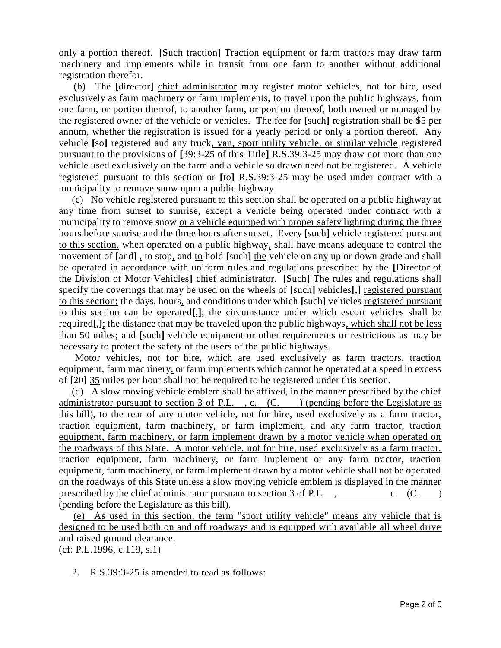only a portion thereof. **[**Such traction**]** Traction equipment or farm tractors may draw farm machinery and implements while in transit from one farm to another without additional registration therefor.

 (b) The **[**director**]** chief administrator may register motor vehicles, not for hire, used exclusively as farm machinery or farm implements, to travel upon the public highways, from one farm, or portion thereof, to another farm, or portion thereof, both owned or managed by the registered owner of the vehicle or vehicles. The fee for **[**such**]** registration shall be \$5 per annum, whether the registration is issued for a yearly period or only a portion thereof. Any vehicle **[**so**]** registered and any truck, van, sport utility vehicle, or similar vehicle registered pursuant to the provisions of **[**39:3-25 of this Title**]** R.S.39:3-25 may draw not more than one vehicle used exclusively on the farm and a vehicle so drawn need not be registered. A vehicle registered pursuant to this section or **[**to**]** R.S.39:3-25 may be used under contract with a municipality to remove snow upon a public highway.

 (c) No vehicle registered pursuant to this section shall be operated on a public highway at any time from sunset to sunrise, except a vehicle being operated under contract with a municipality to remove snow or a vehicle equipped with proper safety lighting during the three hours before sunrise and the three hours after sunset. Every **[**such**]** vehicle registered pursuant to this section, when operated on a public highway, shall have means adequate to control the movement of **[**and**]** , to stop, and to hold **[**such**]** the vehicle on any up or down grade and shall be operated in accordance with uniform rules and regulations prescribed by the **[**Director of the Division of Motor Vehicles**]** chief administrator. **[**Such**]** The rules and regulations shall specify the coverings that may be used on the wheels of **[**such**]** vehicles**[**,**]** registered pursuant to this section; the days, hours, and conditions under which **[**such**]** vehicles registered pursuant to this section can be operated**[**,**]**; the circumstance under which escort vehicles shall be required**[**,**]**; the distance that may be traveled upon the public highways, which shall not be less than 50 miles; and **[**such**]** vehicle equipment or other requirements or restrictions as may be necessary to protect the safety of the users of the public highways.

 Motor vehicles, not for hire, which are used exclusively as farm tractors, traction equipment, farm machinery, or farm implements which cannot be operated at a speed in excess of **[**20**]** 35 miles per hour shall not be required to be registered under this section.

 (d) A slow moving vehicle emblem shall be affixed, in the manner prescribed by the chief administrator pursuant to section  $3$  of P.L., c.  $(C.$  (C.) (pending before the Legislature as this bill), to the rear of any motor vehicle, not for hire, used exclusively as a farm tractor, traction equipment, farm machinery, or farm implement, and any farm tractor, traction equipment, farm machinery, or farm implement drawn by a motor vehicle when operated on the roadways of this State. A motor vehicle, not for hire, used exclusively as a farm tractor, traction equipment, farm machinery, or farm implement or any farm tractor, traction equipment, farm machinery, or farm implement drawn by a motor vehicle shall not be operated on the roadways of this State unless a slow moving vehicle emblem is displayed in the manner prescribed by the chief administrator pursuant to section  $3$  of P.L., c. (C. ) (pending before the Legislature as this bill).

 (e) As used in this section, the term "sport utility vehicle" means any vehicle that is designed to be used both on and off roadways and is equipped with available all wheel drive and raised ground clearance.

(cf: P.L.1996, c.119, s.1)

2. R.S.39:3-25 is amended to read as follows: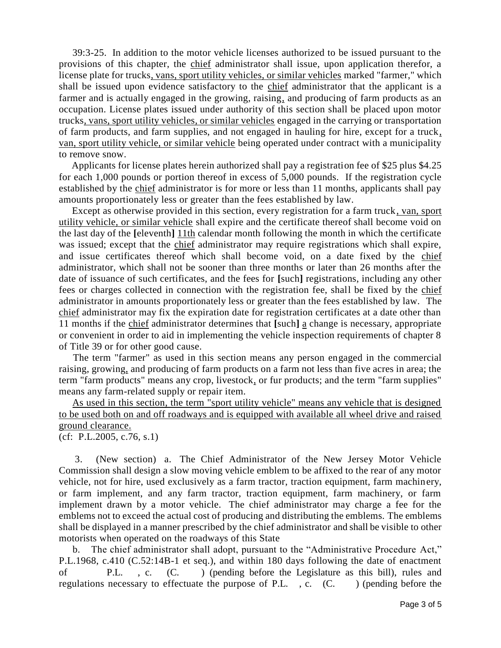39:3-25. In addition to the motor vehicle licenses authorized to be issued pursuant to the provisions of this chapter, the chief administrator shall issue, upon application therefor, a license plate for trucks, vans, sport utility vehicles, or similar vehicles marked "farmer," which shall be issued upon evidence satisfactory to the chief administrator that the applicant is a farmer and is actually engaged in the growing, raising, and producing of farm products as an occupation. License plates issued under authority of this section shall be placed upon motor trucks, vans, sport utility vehicles, or similar vehicles engaged in the carrying or transportation of farm products, and farm supplies, and not engaged in hauling for hire, except for a truck, van, sport utility vehicle, or similar vehicle being operated under contract with a municipality to remove snow.

 Applicants for license plates herein authorized shall pay a registration fee of \$25 plus \$4.25 for each 1,000 pounds or portion thereof in excess of 5,000 pounds. If the registration cycle established by the chief administrator is for more or less than 11 months, applicants shall pay amounts proportionately less or greater than the fees established by law.

 Except as otherwise provided in this section, every registration for a farm truck, van, sport utility vehicle, or similar vehicle shall expire and the certificate thereof shall become void on the last day of the **[**eleventh**]** 11th calendar month following the month in which the certificate was issued; except that the chief administrator may require registrations which shall expire, and issue certificates thereof which shall become void, on a date fixed by the chief administrator, which shall not be sooner than three months or later than 26 months after the date of issuance of such certificates, and the fees for **[**such**]** registrations, including any other fees or charges collected in connection with the registration fee, shall be fixed by the chief administrator in amounts proportionately less or greater than the fees established by law. The chief administrator may fix the expiration date for registration certificates at a date other than 11 months if the chief administrator determines that **[**such**]** a change is necessary, appropriate or convenient in order to aid in implementing the vehicle inspection requirements of chapter 8 of Title 39 or for other good cause.

 The term "farmer" as used in this section means any person engaged in the commercial raising, growing, and producing of farm products on a farm not less than five acres in area; the term "farm products" means any crop, livestock, or fur products; and the term "farm supplies" means any farm-related supply or repair item.

 As used in this section, the term "sport utility vehicle" means any vehicle that is designed to be used both on and off roadways and is equipped with available all wheel drive and raised ground clearance.

(cf: P.L.2005, c.76, s.1)

 3. (New section) a. The Chief Administrator of the New Jersey Motor Vehicle Commission shall design a slow moving vehicle emblem to be affixed to the rear of any motor vehicle, not for hire, used exclusively as a farm tractor, traction equipment, farm machinery, or farm implement, and any farm tractor, traction equipment, farm machinery, or farm implement drawn by a motor vehicle. The chief administrator may charge a fee for the emblems not to exceed the actual cost of producing and distributing the emblems. The emblems shall be displayed in a manner prescribed by the chief administrator and shall be visible to other motorists when operated on the roadways of this State

 b. The chief administrator shall adopt, pursuant to the "Administrative Procedure Act," P.L.1968, c.410 (C.52:14B-1 et seq.), and within 180 days following the date of enactment of P.L. , c. (C. ) (pending before the Legislature as this bill), rules and regulations necessary to effectuate the purpose of P.L., c. (C.) (pending before the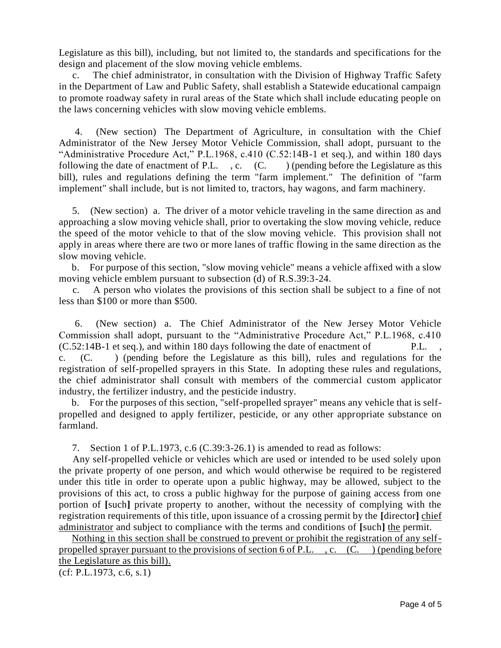Legislature as this bill), including, but not limited to, the standards and specifications for the design and placement of the slow moving vehicle emblems.

 c. The chief administrator, in consultation with the Division of Highway Traffic Safety in the Department of Law and Public Safety, shall establish a Statewide educational campaign to promote roadway safety in rural areas of the State which shall include educating people on the laws concerning vehicles with slow moving vehicle emblems.

 4. (New section) The Department of Agriculture, in consultation with the Chief Administrator of the New Jersey Motor Vehicle Commission, shall adopt, pursuant to the "Administrative Procedure Act," P.L.1968, c.410 (C.52:14B-1 et seq.), and within 180 days following the date of enactment of P.L. , c. (C. ) (pending before the Legislature as this bill), rules and regulations defining the term "farm implement." The definition of "farm implement" shall include, but is not limited to, tractors, hay wagons, and farm machinery.

 5. (New section) a. The driver of a motor vehicle traveling in the same direction as and approaching a slow moving vehicle shall, prior to overtaking the slow moving vehicle, reduce the speed of the motor vehicle to that of the slow moving vehicle. This provision shall not apply in areas where there are two or more lanes of traffic flowing in the same direction as the slow moving vehicle.

 b. For purpose of this section, "slow moving vehicle" means a vehicle affixed with a slow moving vehicle emblem pursuant to subsection (d) of R.S.39:3-24.

 c. A person who violates the provisions of this section shall be subject to a fine of not less than \$100 or more than \$500.

 6. (New section) a. The Chief Administrator of the New Jersey Motor Vehicle Commission shall adopt, pursuant to the "Administrative Procedure Act," P.L.1968, c.410 (C.52:14B-1 et seq.), and within 180 days following the date of enactment of P.L. , c. (C. ) (pending before the Legislature as this bill), rules and regulations for the registration of self-propelled sprayers in this State. In adopting these rules and regulations, the chief administrator shall consult with members of the commercial custom applicator industry, the fertilizer industry, and the pesticide industry.

 b. For the purposes of this section, "self-propelled sprayer" means any vehicle that is selfpropelled and designed to apply fertilizer, pesticide, or any other appropriate substance on farmland.

7. Section 1 of P.L.1973, c.6 (C.39:3-26.1) is amended to read as follows:

 Any self-propelled vehicle or vehicles which are used or intended to be used solely upon the private property of one person, and which would otherwise be required to be registered under this title in order to operate upon a public highway, may be allowed, subject to the provisions of this act, to cross a public highway for the purpose of gaining access from one portion of **[**such**]** private property to another, without the necessity of complying with the registration requirements of this title, upon issuance of a crossing permit by the **[**director**]** chief administrator and subject to compliance with the terms and conditions of **[**such**]** the permit.

 Nothing in this section shall be construed to prevent or prohibit the registration of any selfpropelled sprayer pursuant to the provisions of section 6 of P.L. , c. (C. ) (pending before the Legislature as this bill).

(cf: P.L.1973, c.6, s.1)